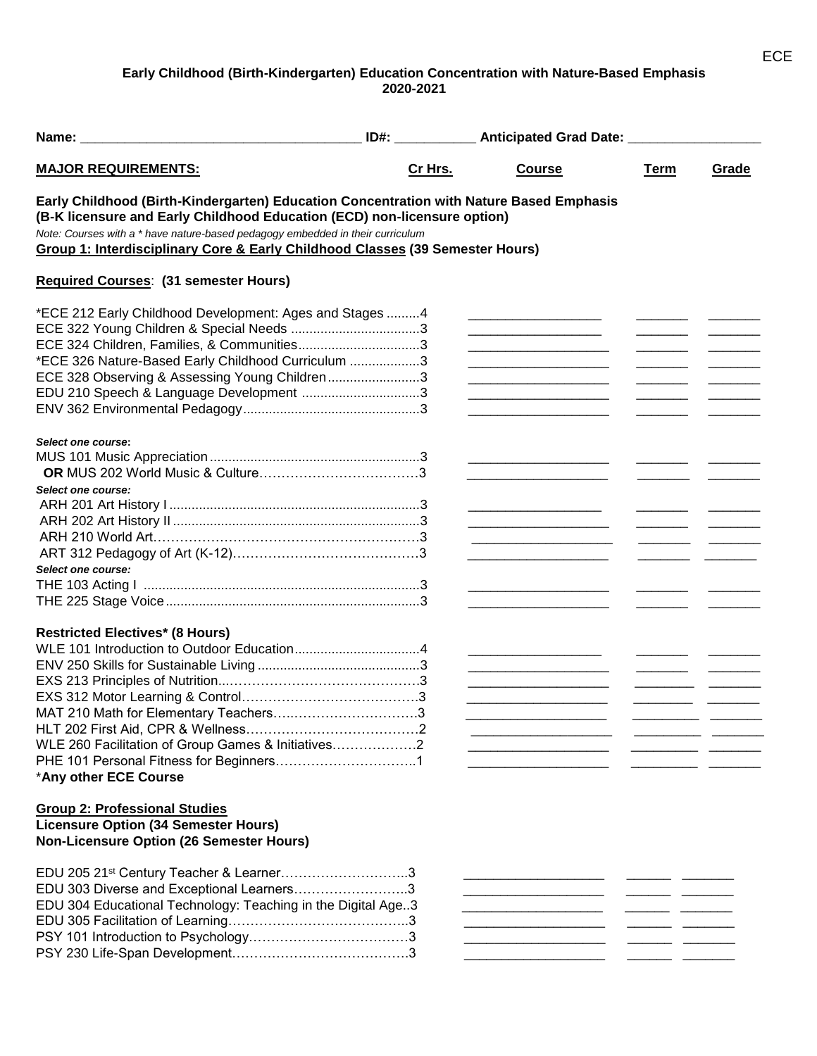## **Early Childhood (Birth-Kindergarten) Education Concentration with Nature-Based Emphasis 2020-2021**

| Name: Name and the state of the state of the state of the state of the state of the state of the state of the state of the state of the state of the state of the state of the state of the state of the state of the state of                                                                                                                    |         | ID#: _______________ Anticipated Grad Date: __________________                                                       |             |       |
|---------------------------------------------------------------------------------------------------------------------------------------------------------------------------------------------------------------------------------------------------------------------------------------------------------------------------------------------------|---------|----------------------------------------------------------------------------------------------------------------------|-------------|-------|
| <b>MAJOR REQUIREMENTS:</b>                                                                                                                                                                                                                                                                                                                        | Cr Hrs. | <b>Course</b>                                                                                                        | <b>Term</b> | Grade |
| Early Childhood (Birth-Kindergarten) Education Concentration with Nature Based Emphasis<br>(B-K licensure and Early Childhood Education (ECD) non-licensure option)<br>Note: Courses with a * have nature-based pedagogy embedded in their curriculum<br><b>Group 1: Interdisciplinary Core &amp; Early Childhood Classes (39 Semester Hours)</b> |         |                                                                                                                      |             |       |
| Required Courses: (31 semester Hours)                                                                                                                                                                                                                                                                                                             |         |                                                                                                                      |             |       |
| *ECE 212 Early Childhood Development: Ages and Stages 4<br>ECE 324 Children, Families, & Communities3<br>*ECE 326 Nature-Based Early Childhood Curriculum 3<br>ECE 328 Observing & Assessing Young Children3<br>EDU 210 Speech & Language Development 3                                                                                           |         | <u> 2000 - 2000 - 2000 - 2000 - 2000 - 2000 - 2000 - 2000 - 2000 - 2000 - 2000 - 2000 - 2000 - 2000 - 2000 - 200</u> |             |       |
| Select one course:<br>Select one course:<br>Select one course:                                                                                                                                                                                                                                                                                    |         |                                                                                                                      |             |       |
|                                                                                                                                                                                                                                                                                                                                                   |         |                                                                                                                      |             |       |
| <b>Restricted Electives* (8 Hours)</b><br>MAT 210 Math for Elementary Teachers<br>WLE 260 Facilitation of Group Games & Initiatives2<br>*Any other ECE Course                                                                                                                                                                                     |         |                                                                                                                      |             |       |
| <b>Group 2: Professional Studies</b><br><b>Licensure Option (34 Semester Hours)</b><br><b>Non-Licensure Option (26 Semester Hours)</b>                                                                                                                                                                                                            |         |                                                                                                                      |             |       |
| EDU 205 21st Century Teacher & Learner3<br>EDU 303 Diverse and Exceptional Learners3<br>EDU 304 Educational Technology: Teaching in the Digital Age3                                                                                                                                                                                              |         | .<br>.<br><u> 1980 - Jan Barnett, fransk politik (d. 1980)</u>                                                       |             |       |